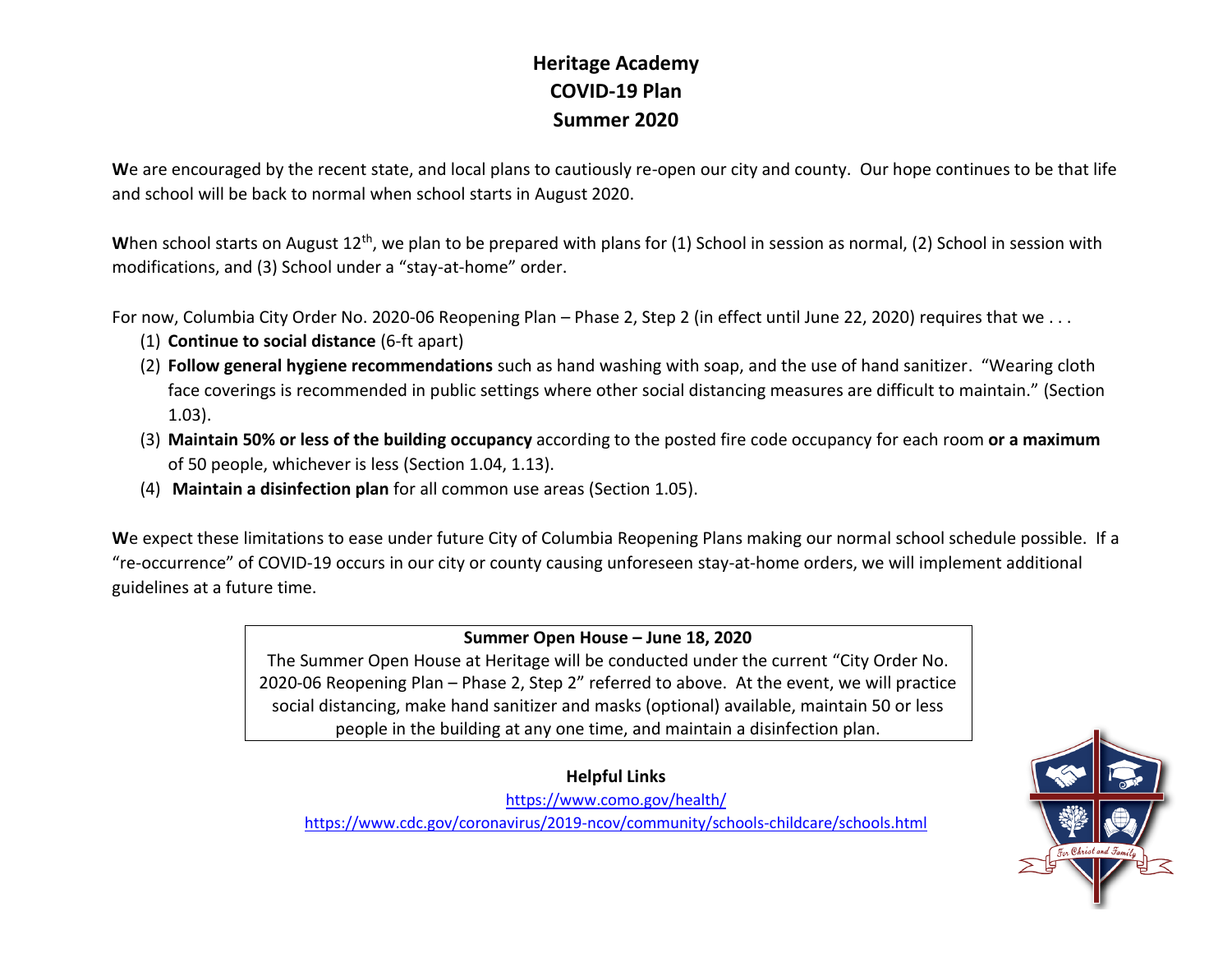## **Heritage Academy COVID-19 Plan Summer 2020**

**W**e are encouraged by the recent state, and local plans to cautiously re-open our city and county. Our hope continues to be that life and school will be back to normal when school starts in August 2020.

When school starts on August 12<sup>th</sup>, we plan to be prepared with plans for (1) School in session as normal, (2) School in session with modifications, and (3) School under a "stay-at-home" order.

For now, Columbia City Order No. 2020-06 Reopening Plan – Phase 2, Step 2 (in effect until June 22, 2020) requires that we . . .

- (1) **Continue to social distance** (6-ft apart)
- (2) **Follow general hygiene recommendations** such as hand washing with soap, and the use of hand sanitizer. "Wearing cloth face coverings is recommended in public settings where other social distancing measures are difficult to maintain." (Section 1.03).
- (3) **Maintain 50% or less of the building occupancy** according to the posted fire code occupancy for each room **or a maximum**  of 50 people, whichever is less (Section 1.04, 1.13).
- (4) **Maintain a disinfection plan** for all common use areas (Section 1.05).

**W**e expect these limitations to ease under future City of Columbia Reopening Plans making our normal school schedule possible. If a "re-occurrence" of COVID-19 occurs in our city or county causing unforeseen stay-at-home orders, we will implement additional guidelines at a future time.

## **Summer Open House – June 18, 2020**

The Summer Open House at Heritage will be conducted under the current "City Order No. 2020-06 Reopening Plan – Phase 2, Step 2" referred to above. At the event, we will practice social distancing, make hand sanitizer and masks (optional) available, maintain 50 or less people in the building at any one time, and maintain a disinfection plan.

**Helpful Links** <https://www.como.gov/health/> <https://www.cdc.gov/coronavirus/2019-ncov/community/schools-childcare/schools.html>